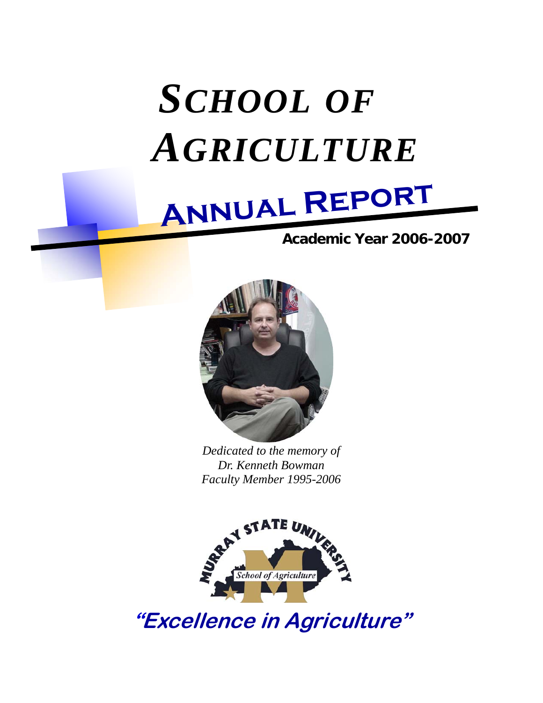# *SCHOOL OF AGRICULTURE*



## **Academic Year 2006-2007**



*Dedicated to the memory of Dr. Kenneth Bowman Faculty Member 1995-2006* 



**"Excellence in Agriculture"**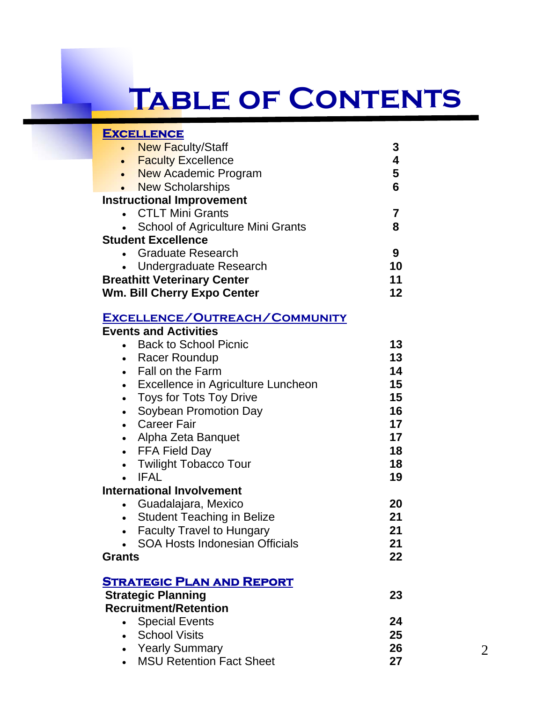# **Table of Contents**

| <b>EXCELLENCE</b>                          |    |
|--------------------------------------------|----|
| <b>New Faculty/Staff</b><br>$\bullet$      |    |
| <b>Faculty Excellence</b><br>$\bullet$     | 4  |
| <b>New Academic Program</b><br>$\bullet$   | 5  |
| • New Scholarships                         | 6  |
| <b>Instructional Improvement</b>           |    |
| • CTLT Mini Grants                         |    |
| • School of Agriculture Mini Grants        | 8  |
| <b>Student Excellence</b>                  |    |
| • Graduate Research                        | 9  |
| <b>Undergraduate Research</b><br>$\bullet$ | 10 |
| <b>Breathitt Veterinary Center</b>         | 11 |
| <b>Wm. Bill Cherry Expo Center</b>         | 12 |

### **Excellence/Outreach/Community**

| <b>Events and Activities</b>                 |                 |
|----------------------------------------------|-----------------|
| <b>Back to School Picnic</b>                 | 13              |
| Racer Roundup                                | 13 <sup>2</sup> |
| Fall on the Farm<br>$\bullet$                | 14              |
| • Excellence in Agriculture Luncheon         | 15              |
| <b>Toys for Tots Toy Drive</b><br>$\bullet$  | 15              |
| Soybean Promotion Day<br>$\bullet$           | 16              |
| <b>Career Fair</b><br>$\bullet$              | 17              |
| Alpha Zeta Banquet<br>$\bullet$              | 17              |
| • FFA Field Day                              | 18              |
| <b>Twilight Tobacco Tour</b>                 | 18              |
| <b>IFAL</b>                                  | 19              |
| <b>International Involvement</b>             |                 |
| Guadalajara, Mexico                          | 20              |
| Student Teaching in Belize                   | 21              |
| <b>Faculty Travel to Hungary</b>             | 21              |
| <b>SOA Hosts Indonesian Officials</b>        | 21              |
| Grants                                       | 22              |
|                                              |                 |
| <u>Strategic Plan and Report</u>             |                 |
| <b>Strategic Planning</b>                    | 23              |
| <b>Recruitment/Retention</b>                 |                 |
| • Special Events                             | 24              |
| • School Visits                              | 25              |
| • Yearly Summary                             | 26              |
| <b>MSU Retention Fact Sheet</b><br>$\bullet$ | 27              |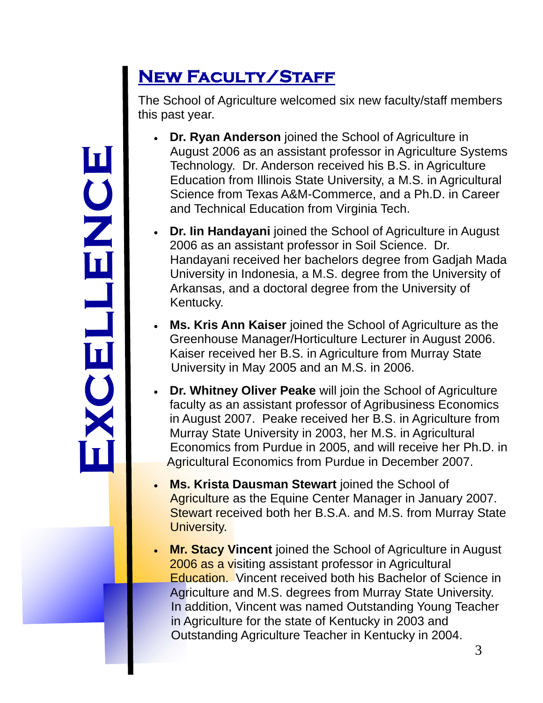# **Exc e l l enc e**

# **New Faculty/Staff**

The School of Agriculture welcomed six new faculty/staff members this past year.

- **Dr. Ryan Anderson** joined the School of Agriculture in August 2006 as an assistant professor in Agriculture Systems Technology. Dr. Anderson received his B.S. in Agriculture Education from Illinois State University, a M.S. in Agricultural Science from Texas A&M-Commerce, and a Ph.D. in Career and Technical Education from Virginia Tech.
- **Dr. Iin Handayani** joined the School of Agriculture in August 2006 as an assistant professor in Soil Science. Dr. Handayani received her bachelors degree from Gadjah Mada University in Indonesia, a M.S. degree from the University of Arkansas, and a doctoral degree from the University of Kentucky.
- **Ms. Kris Ann Kaiser** joined the School of Agriculture as the Greenhouse Manager/Horticulture Lecturer in August 2006. Kaiser received her B.S. in Agriculture from Murray State University in May 2005 and an M.S. in 2006.
- **Dr. Whitney Oliver Peake** will join the School of Agriculture faculty as an assistant professor of Agribusiness Economics in August 2007. Peake received her B.S. in Agriculture from Murray State University in 2003, her M.S. in Agricultural Economics from Purdue in 2005, and will receive her Ph.D. in Agricultural Economics from Purdue in December 2007.
- **Ms. Krista Dausman Stewart** joined the School of Agriculture as the Equine Center Manager in January 2007. Stewart received both her B.S.A. and M.S. from Murray State University.
- **Mr. Stacy Vincent** joined the School of Agriculture in August 2006 as a visiting assistant professor in Agricultural Education. Vincent received both his Bachelor of Science in Agriculture and M.S. degrees from Murray State University. In addition, Vincent was named Outstanding Young Teacher in Agriculture for the state of Kentucky in 2003 and Outstanding Agriculture Teacher in Kentucky in 2004.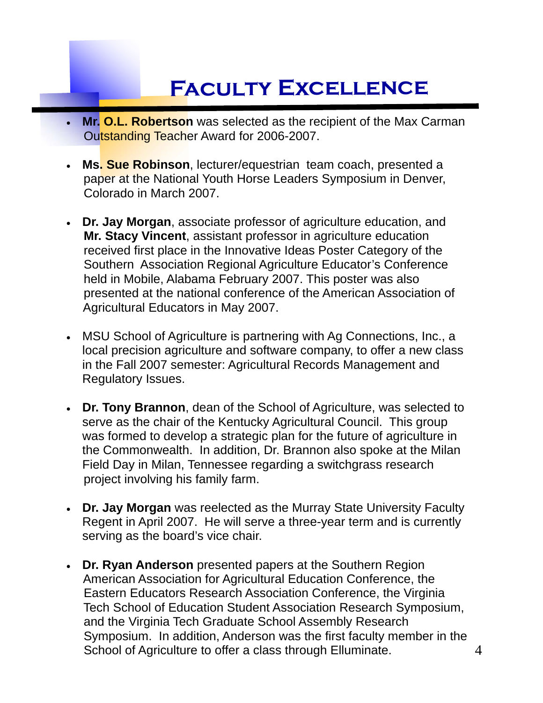# **Faculty Excellence**

- **Mr. O.L. Robertson** was selected as the recipient of the Max Carman Outstanding Teacher Award for 2006-2007.
- **Ms. Sue Robinson**, lecturer/equestrian team coach, presented a paper at the National Youth Horse Leaders Symposium in Denver, Colorado in March 2007.
- **Dr. Jay Morgan**, associate professor of agriculture education, and **Mr. Stacy Vincent**, assistant professor in agriculture education received first place in the Innovative Ideas Poster Category of the Southern Association Regional Agriculture Educator's Conference held in Mobile, Alabama February 2007. This poster was also presented at the national conference of the American Association of Agricultural Educators in May 2007.
- MSU School of Agriculture is partnering with Ag Connections, Inc., a local precision agriculture and software company, to offer a new class in the Fall 2007 semester: Agricultural Records Management and Regulatory Issues.
- **Dr. Tony Brannon**, dean of the School of Agriculture, was selected to serve as the chair of the Kentucky Agricultural Council. This group was formed to develop a strategic plan for the future of agriculture in the Commonwealth. In addition, Dr. Brannon also spoke at the Milan Field Day in Milan, Tennessee regarding a switchgrass research project involving his family farm.
- **Dr. Jay Morgan** was reelected as the Murray State University Faculty Regent in April 2007. He will serve a three-year term and is currently serving as the board's vice chair.
- **Dr. Ryan Anderson** presented papers at the Southern Region American Association for Agricultural Education Conference, the Eastern Educators Research Association Conference, the Virginia Tech School of Education Student Association Research Symposium, and the Virginia Tech Graduate School Assembly Research Symposium. In addition, Anderson was the first faculty member in the School of Agriculture to offer a class through Elluminate. 4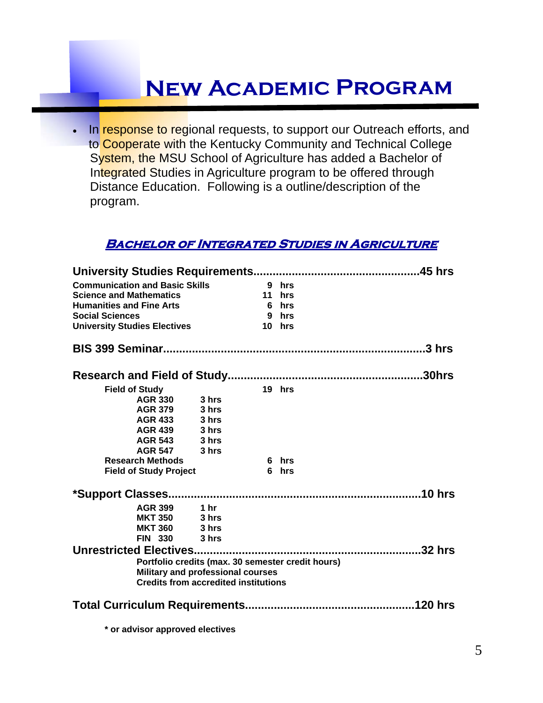# **New Academic Program**

In response to regional requests, to support our Outreach efforts, and to Cooperate with the Kentucky Community and Technical College System, the MSU School of Agriculture has added a Bachelor of Integrated Studies in Agriculture program to be offered through Distance Education. Following is a outline/description of the program.

#### **BACHELOR OF INTEGRATED STUDIES IN AGRICULTURE**

| <b>Communication and Basic Skills</b> |                                                   | 9 hrs  |  |
|---------------------------------------|---------------------------------------------------|--------|--|
| <b>Science and Mathematics</b>        |                                                   | 11 hrs |  |
| <b>Humanities and Fine Arts</b>       |                                                   | 6 hrs  |  |
| <b>Social Sciences</b>                |                                                   | 9 hrs  |  |
| <b>University Studies Electives</b>   |                                                   | 10 hrs |  |
|                                       |                                                   |        |  |
|                                       |                                                   |        |  |
| <b>Field of Study</b>                 |                                                   | 19 hrs |  |
| <b>AGR 330</b>                        | 3 hrs                                             |        |  |
| <b>AGR 379</b>                        | 3 hrs                                             |        |  |
| AGR 433                               | 3 hrs                                             |        |  |
| AGR 439 3 hrs                         |                                                   |        |  |
| AGR 543 3 hrs                         |                                                   |        |  |
| <b>AGR 547</b>                        | 3 hrs                                             |        |  |
| <b>Research Methods</b>               |                                                   | 6 hrs  |  |
| <b>Field of Study Project</b>         |                                                   | 6 hrs  |  |
|                                       |                                                   |        |  |
| AGR 399 1 hr                          |                                                   |        |  |
| <b>MKT 350 3 hrs</b>                  |                                                   |        |  |
| <b>MKT 360 3 hrs</b>                  |                                                   |        |  |
| <b>FIN 330</b>                        | 3 hrs                                             |        |  |
|                                       |                                                   |        |  |
|                                       | Portfolio credits (max. 30 semester credit hours) |        |  |
|                                       | Military and professional courses                 |        |  |
|                                       | <b>Credits from accredited institutions</b>       |        |  |
|                                       |                                                   |        |  |
|                                       |                                                   |        |  |
|                                       |                                                   |        |  |

**\* or advisor approved electives**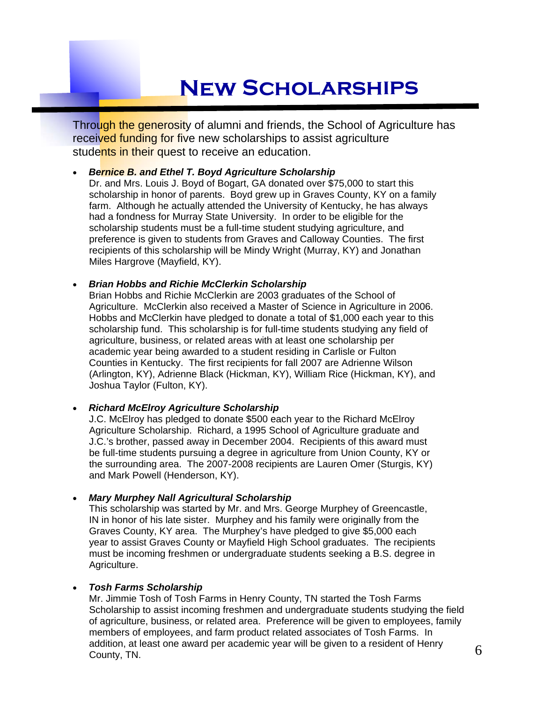# **New Scholarships**

Through the generosity of alumni and friends, the School of Agriculture has received funding for five new scholarships to assist agriculture students in their quest to receive an education.

#### *Bernice B. and Ethel T. Boyd Agriculture Scholarship*

Dr. and Mrs. Louis J. Boyd of Bogart, GA donated over \$75,000 to start this scholarship in honor of parents. Boyd grew up in Graves County, KY on a family farm. Although he actually attended the University of Kentucky, he has always had a fondness for Murray State University. In order to be eligible for the scholarship students must be a full-time student studying agriculture, and preference is given to students from Graves and Calloway Counties. The first recipients of this scholarship will be Mindy Wright (Murray, KY) and Jonathan Miles Hargrove (Mayfield, KY).

#### *Brian Hobbs and Richie McClerkin Scholarship*

Brian Hobbs and Richie McClerkin are 2003 graduates of the School of Agriculture. McClerkin also received a Master of Science in Agriculture in 2006. Hobbs and McClerkin have pledged to donate a total of \$1,000 each year to this scholarship fund. This scholarship is for full-time students studying any field of agriculture, business, or related areas with at least one scholarship per academic year being awarded to a student residing in Carlisle or Fulton Counties in Kentucky. The first recipients for fall 2007 are Adrienne Wilson (Arlington, KY), Adrienne Black (Hickman, KY), William Rice (Hickman, KY), and Joshua Taylor (Fulton, KY).

#### *Richard McElroy Agriculture Scholarship*

J.C. McElroy has pledged to donate \$500 each year to the Richard McElroy Agriculture Scholarship. Richard, a 1995 School of Agriculture graduate and J.C.'s brother, passed away in December 2004. Recipients of this award must be full-time students pursuing a degree in agriculture from Union County, KY or the surrounding area. The 2007-2008 recipients are Lauren Omer (Sturgis, KY) and Mark Powell (Henderson, KY).

#### *Mary Murphey Nall Agricultural Scholarship*

This scholarship was started by Mr. and Mrs. George Murphey of Greencastle, IN in honor of his late sister. Murphey and his family were originally from the Graves County, KY area. The Murphey's have pledged to give \$5,000 each year to assist Graves County or Mayfield High School graduates. The recipients must be incoming freshmen or undergraduate students seeking a B.S. degree in Agriculture.

#### *Tosh Farms Scholarship*

Mr. Jimmie Tosh of Tosh Farms in Henry County, TN started the Tosh Farms Scholarship to assist incoming freshmen and undergraduate students studying the field of agriculture, business, or related area. Preference will be given to employees, family members of employees, and farm product related associates of Tosh Farms. In addition, at least one award per academic year will be given to a resident of Henry County, TN.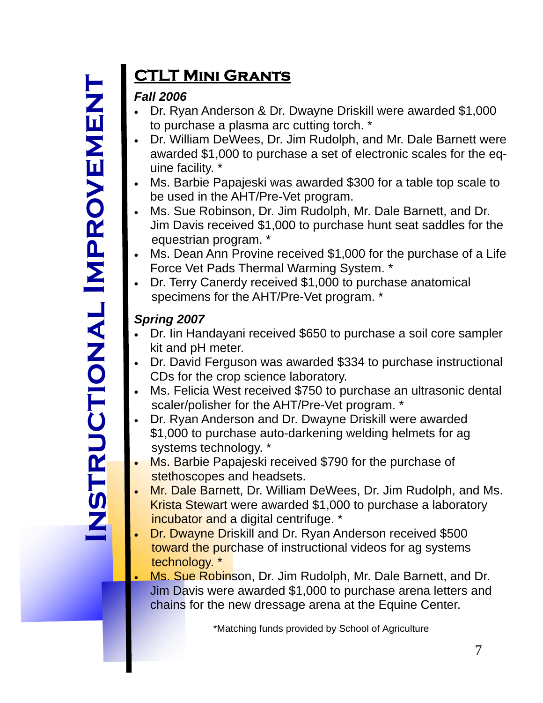# <u>の</u><br>乙 **It r u**  $\mathbf{C}$ **t o i na l I m p r ov e m h**<br>四

# **CTLT Mini Grants**

## *Fall 2006*

- Dr. Ryan Anderson & Dr. Dwayne Driskill were awarded \$1,000 to purchase a plasma arc cutting torch. \*
- Dr. William DeWees, Dr. Jim Rudolph, and Mr. Dale Barnett were awarded \$1,000 to purchase a set of electronic scales for the equine facility. \*
- Ms. Barbie Papajeski was awarded \$300 for a table top scale to be used in the AHT/Pre-Vet program.
- Ms. Sue Robinson, Dr. Jim Rudolph, Mr. Dale Barnett, and Dr. Jim Davis received \$1,000 to purchase hunt seat saddles for the equestrian program. \*
- Ms. Dean Ann Provine received \$1,000 for the purchase of a Life Force Vet Pads Thermal Warming System. \*
- Dr. Terry Canerdy received \$1,000 to purchase anatomical specimens for the AHT/Pre-Vet program. \*

## *Spring 2007*

- Dr. Iin Handayani received \$650 to purchase a soil core sampler kit and pH meter.
- Dr. David Ferguson was awarded \$334 to purchase instructional CDs for the crop science laboratory.
- Ms. Felicia West received \$750 to purchase an ultrasonic dental scaler/polisher for the AHT/Pre-Vet program. \*
- Dr. Ryan Anderson and Dr. Dwayne Driskill were awarded \$1,000 to purchase auto-darkening welding helmets for ag systems technology. \*
- Ms. Barbie Papajeski received \$790 for the purchase of stethoscopes and headsets.
- Mr. Dale Barnett, Dr. William DeWees, Dr. Jim Rudolph, and Ms. Krista Stewart were awarded \$1,000 to purchase a laboratory incubator and a digital centrifuge. \*
- Dr. Dwayne Driskill and Dr. Ryan Anderson received \$500 toward the purchase of instructional videos for ag systems technology. \*
- Ms. Sue Robinson, Dr. Jim Rudolph, Mr. Dale Barnett, and Dr. Jim Davis were awarded \$1,000 to purchase arena letters and chains for the new dressage arena at the Equine Center.

\*Matching funds provided by School of Agriculture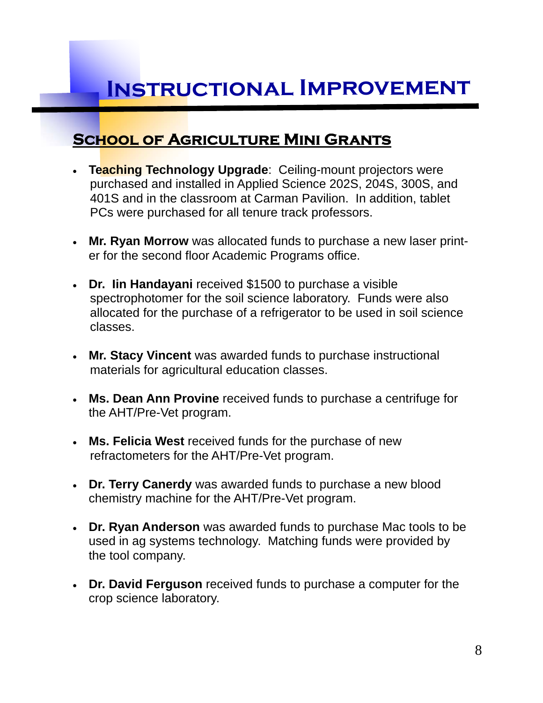## **School of Agriculture Mini Grants**

- **Teaching Technology Upgrade**: Ceiling-mount projectors were purchased and installed in Applied Science 202S, 204S, 300S, and 401S and in the classroom at Carman Pavilion. In addition, tablet PCs were purchased for all tenure track professors.
- **Mr. Ryan Morrow** was allocated funds to purchase a new laser printer for the second floor Academic Programs office.
- **Dr. Iin Handayani** received \$1500 to purchase a visible spectrophotomer for the soil science laboratory. Funds were also allocated for the purchase of a refrigerator to be used in soil science classes.
- **Mr. Stacy Vincent** was awarded funds to purchase instructional materials for agricultural education classes.
- **Ms. Dean Ann Provine** received funds to purchase a centrifuge for the AHT/Pre-Vet program.
- **Ms. Felicia West** received funds for the purchase of new refractometers for the AHT/Pre-Vet program.
- **Dr. Terry Canerdy** was awarded funds to purchase a new blood chemistry machine for the AHT/Pre-Vet program.
- **Dr. Ryan Anderson** was awarded funds to purchase Mac tools to be used in ag systems technology. Matching funds were provided by the tool company.
- **Dr. David Ferguson** received funds to purchase a computer for the crop science laboratory.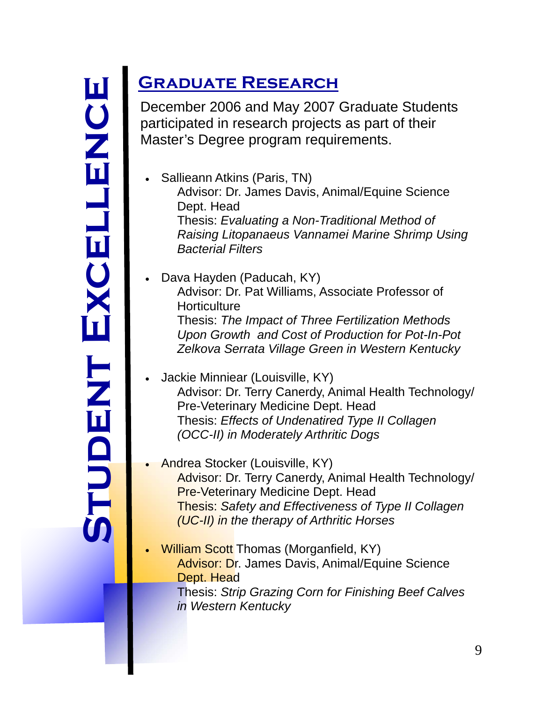# **e enc l l e ent Exc d Stu**

# **Graduate Research**

December 2006 and May 2007 Graduate Students participated in research projects as part of their Master's Degree program requirements.

- Sallieann Atkins (Paris, TN) Advisor: Dr. James Davis, Animal/Equine Science Dept. Head Thesis: *Evaluating a Non-Traditional Method of Raising Litopanaeus Vannamei Marine Shrimp Using Bacterial Filters*
- Dava Hayden (Paducah, KY) Advisor: Dr. Pat Williams, Associate Professor of **Horticulture**  Thesis: *The Impact of Three Fertilization Methods Upon Growth and Cost of Production for Pot-In-Pot Zelkova Serrata Village Green in Western Kentucky*
- Jackie Minniear (Louisville, KY) Advisor: Dr. Terry Canerdy, Animal Health Technology/ Pre-Veterinary Medicine Dept. Head Thesis: *Effects of Undenatired Type II Collagen (OCC-II) in Moderately Arthritic Dogs*
- Andrea Stocker (Louisville, KY) Advisor: Dr. Terry Canerdy, Animal Health Technology/ Pre-Veterinary Medicine Dept. Head Thesis: *Safety and Effectiveness of Type II Collagen (UC-II) in the therapy of Arthritic Horses*
- William Scott Thomas (Morganfield, KY) Advisor: Dr. James Davis, Animal/Equine Science Dept. Head Thesis: *Strip Grazing Corn for Finishing Beef Calves in Western Kentucky*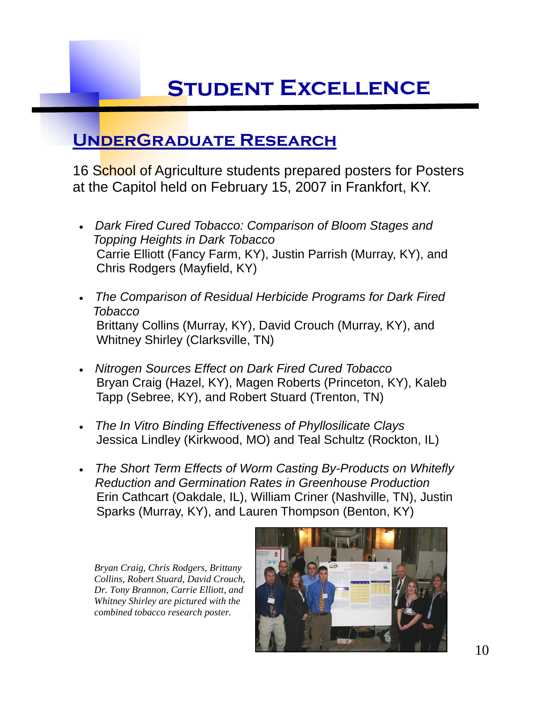# **Student Excellence**

## **UnderGraduate Research**

16 School of Agriculture students prepared posters for Posters at the Capitol held on February 15, 2007 in Frankfort, KY.

- *Dark Fired Cured Tobacco: Comparison of Bloom Stages and Topping Heights in Dark Tobacco*  Carrie Elliott (Fancy Farm, KY), Justin Parrish (Murray, KY), and Chris Rodgers (Mayfield, KY)
- *The Comparison of Residual Herbicide Programs for Dark Fired Tobacco*  Brittany Collins (Murray, KY), David Crouch (Murray, KY), and Whitney Shirley (Clarksville, TN)
- *Nitrogen Sources Effect on Dark Fired Cured Tobacco* Bryan Craig (Hazel, KY), Magen Roberts (Princeton, KY), Kaleb Tapp (Sebree, KY), and Robert Stuard (Trenton, TN)
- *The In Vitro Binding Effectiveness of Phyllosilicate Clays* Jessica Lindley (Kirkwood, MO) and Teal Schultz (Rockton, IL)
- *The Short Term Effects of Worm Casting By-Products on Whitefly Reduction and Germination Rates in Greenhouse Production* Erin Cathcart (Oakdale, IL), William Criner (Nashville, TN), Justin Sparks (Murray, KY), and Lauren Thompson (Benton, KY)

*Bryan Craig, Chris Rodgers, Brittany Collins, Robert Stuard, David Crouch, Dr. Tony Brannon, Carrie Elliott, and Whitney Shirley are pictured with the combined tobacco research poster.* 

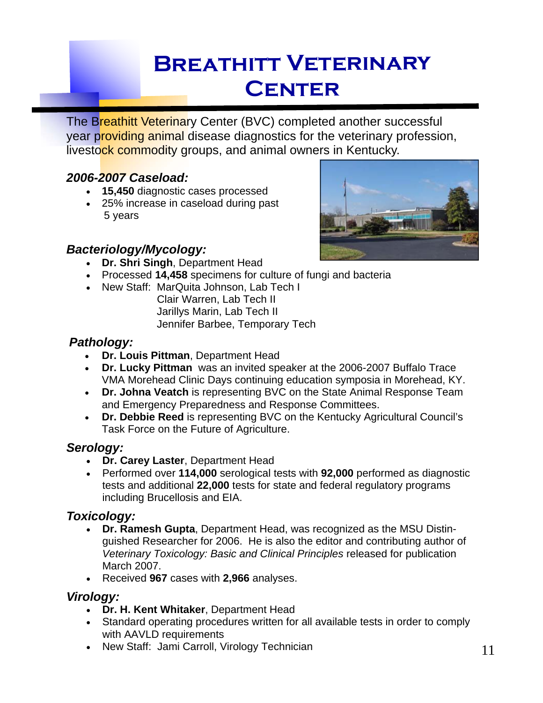# **Breathitt Veterinary Center**

The Breathitt Veterinary Center (BVC) completed another successful year providing animal disease diagnostics for the veterinary profession, livestock commodity groups, and animal owners in Kentucky.

## *2006-2007 Caseload:*

- **15,450** diagnostic cases processed
- 25% increase in caseload during past 5 years



#### *Bacteriology/Mycology:*

- **Dr. Shri Singh**, Department Head
- Processed **14,458** specimens for culture of fungi and bacteria
- New Staff: MarQuita Johnson, Lab Tech I Clair Warren, Lab Tech II
	- Jarillys Marin, Lab Tech II
		- Jennifer Barbee, Temporary Tech

### *Pathology:*

- **Dr. Louis Pittman**, Department Head
- **Dr. Lucky Pittman** was an invited speaker at the 2006-2007 Buffalo Trace VMA Morehead Clinic Days continuing education symposia in Morehead, KY.
- **Dr. Johna Veatch** is representing BVC on the State Animal Response Team and Emergency Preparedness and Response Committees.
- **Dr. Debbie Reed** is representing BVC on the Kentucky Agricultural Council's Task Force on the Future of Agriculture.

## *Serology:*

- **Dr. Carey Laster**, Department Head
- Performed over **114,000** serological tests with **92,000** performed as diagnostic tests and additional **22,000** tests for state and federal regulatory programs including Brucellosis and EIA.

## *Toxicology:*

- **Dr. Ramesh Gupta**, Department Head, was recognized as the MSU Distinguished Researcher for 2006. He is also the editor and contributing author of *Veterinary Toxicology: Basic and Clinical Principles* released for publication March 2007.
- Received **967** cases with **2,966** analyses.

## *Virology:*

- **Dr. H. Kent Whitaker**, Department Head
- Standard operating procedures written for all available tests in order to comply with AAVLD requirements
- New Staff: Jami Carroll, Virology Technician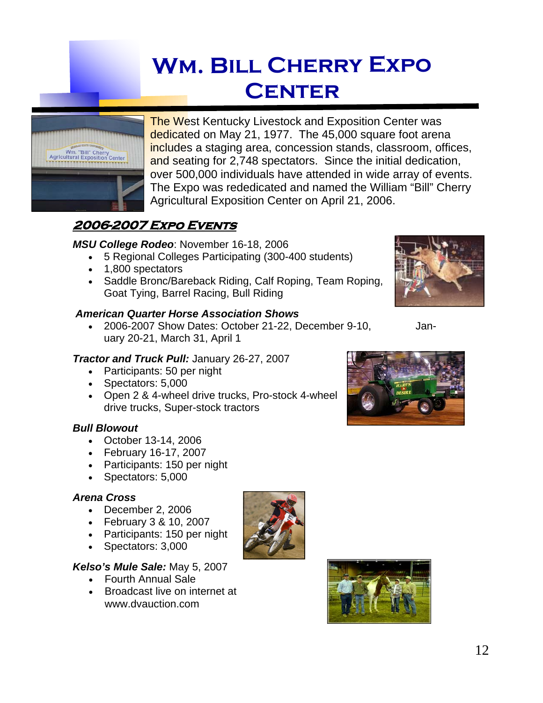# **Wm. Bill Cherry Expo Center**



**The West Kentucky Livestock and Exposition Center was** dedicated on May 21, 1977. The 45,000 square foot arena includes a staging area, concession stands, classroom, offices, and seating for 2,748 spectators. Since the initial dedication, over 500,000 individuals have attended in wide array of events. The Expo was rededicated and named the William "Bill" Cherry Agricultural Exposition Center on April 21, 2006.

## **2006-2007 Expo Events**

#### *MSU College Rodeo*: November 16-18, 2006

- 5 Regional Colleges Participating (300-400 students)
- 1,800 spectators
- Saddle Bronc/Bareback Riding, Calf Roping, Team Roping, Goat Tying, Barrel Racing, Bull Riding

#### *American Quarter Horse Association Shows*

 2006-2007 Show Dates: October 21-22, December 9-10, January 20-21, March 31, April 1

#### *Tractor and Truck Pull:* January 26-27, 2007

- Participants: 50 per night
- Spectators: 5,000
- Open 2 & 4-wheel drive trucks, Pro-stock 4-wheel drive trucks, Super-stock tractors

#### *Bull Blowout*

- October 13-14, 2006
- February 16-17, 2007
- Participants: 150 per night
- Spectators: 5,000

#### *Arena Cross*

- December 2, 2006
- February 3 & 10, 2007
- Participants: 150 per night
- Spectators: 3,000

#### *Kelso's Mule Sale:* May 5, 2007

- Fourth Annual Sale
- Broadcast live on internet at www.dvauction.com







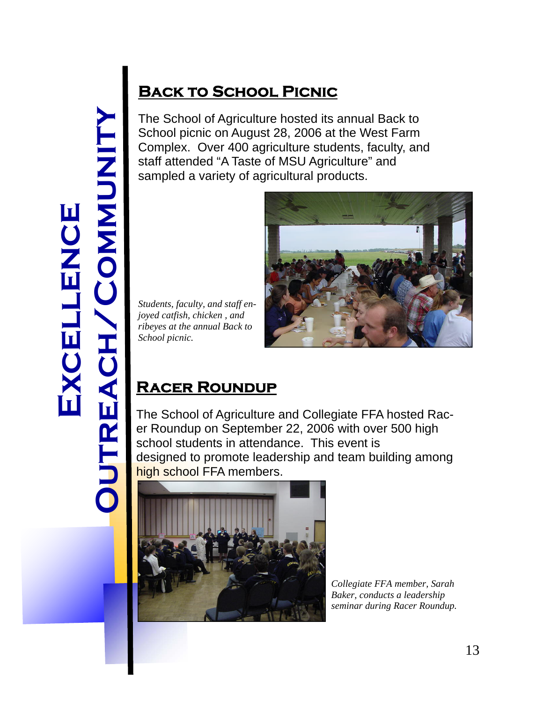# **E XCE l l e uCN**<br>NC **Outreac h / C o m MUN i ty**

## **BACK TO SCHOOL PICNIC**

The School of Agriculture hosted its annual Back to School picnic on August 28, 2006 at the West Farm Complex. Over 400 agriculture students, faculty, and staff attended "A Taste of MSU Agriculture" and sampled a variety of agricultural products.

*Students, faculty, and staff enjoyed catfish, chicken , and ribeyes at the annual Back to School picnic.* 



## **Racer Roundup**

The School of Agriculture and Collegiate FFA hosted Racer Roundup on September 22, 2006 with over 500 high school students in attendance. This event is designed to promote leadership and team building among high school FFA members.



*Collegiate FFA member, Sarah Baker, conducts a leadership seminar during Racer Roundup.*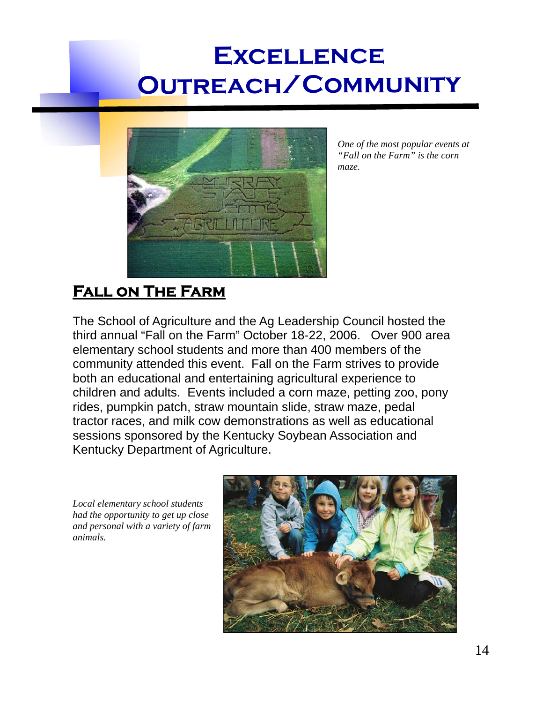

*One of the most popular events at "Fall on the Farm" is the corn maze.* 

## **Fall on The Farm**

The School of Agriculture and the Ag Leadership Council hosted the third annual "Fall on the Farm" October 18-22, 2006. Over 900 area elementary school students and more than 400 members of the community attended this event. Fall on the Farm strives to provide both an educational and entertaining agricultural experience to children and adults. Events included a corn maze, petting zoo, pony rides, pumpkin patch, straw mountain slide, straw maze, pedal tractor races, and milk cow demonstrations as well as educational sessions sponsored by the Kentucky Soybean Association and Kentucky Department of Agriculture.

*Local elementary school students had the opportunity to get up close and personal with a variety of farm animals.* 

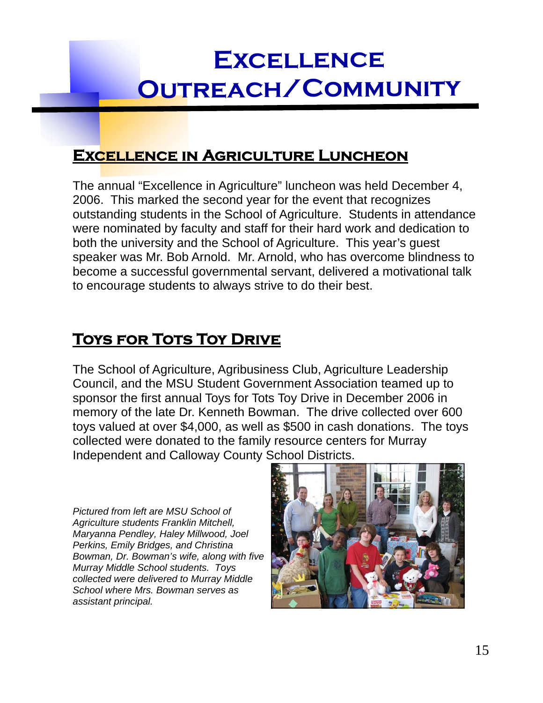## **Excellence in Agriculture Luncheon**

The annual "Excellence in Agriculture" luncheon was held December 4, 2006. This marked the second year for the event that recognizes outstanding students in the School of Agriculture. Students in attendance were nominated by faculty and staff for their hard work and dedication to both the university and the School of Agriculture. This year's guest speaker was Mr. Bob Arnold. Mr. Arnold, who has overcome blindness to become a successful governmental servant, delivered a motivational talk to encourage students to always strive to do their best.

## **TOYS FOR TOTS TOY DRIVE**

The School of Agriculture, Agribusiness Club, Agriculture Leadership Council, and the MSU Student Government Association teamed up to sponsor the first annual Toys for Tots Toy Drive in December 2006 in memory of the late Dr. Kenneth Bowman. The drive collected over 600 toys valued at over \$4,000, as well as \$500 in cash donations. The toys collected were donated to the family resource centers for Murray Independent and Calloway County School Districts.

*Pictured from left are MSU School of Agriculture students Franklin Mitchell, Maryanna Pendley, Haley Millwood, Joel Perkins, Emily Bridges, and Christina Bowman, Dr. Bowman's wife, along with five Murray Middle School students. Toys collected were delivered to Murray Middle School where Mrs. Bowman serves as assistant principal.* 

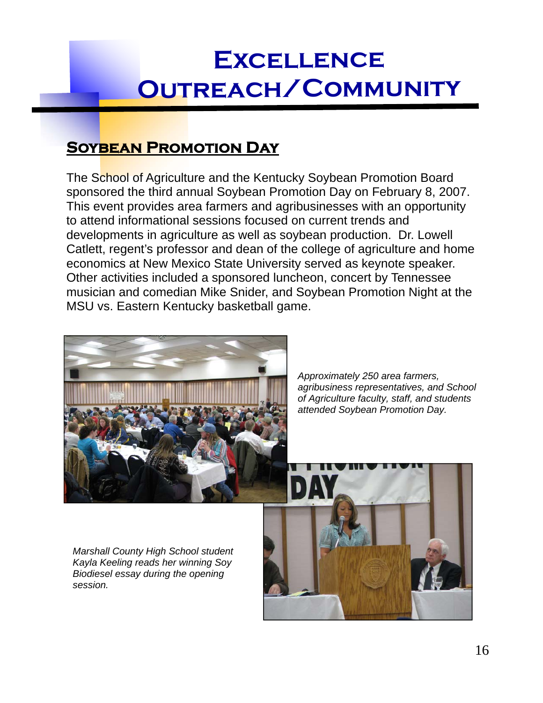## **Soybean Promotion Day**

The School of Agriculture and the Kentucky Soybean Promotion Board sponsored the third annual Soybean Promotion Day on February 8, 2007. This event provides area farmers and agribusinesses with an opportunity to attend informational sessions focused on current trends and developments in agriculture as well as soybean production. Dr. Lowell Catlett, regent's professor and dean of the college of agriculture and home economics at New Mexico State University served as keynote speaker. Other activities included a sponsored luncheon, concert by Tennessee musician and comedian Mike Snider, and Soybean Promotion Night at the MSU vs. Eastern Kentucky basketball game.



*Approximately 250 area farmers, agribusiness representatives, and School of Agriculture faculty, staff, and students attended Soybean Promotion Day.* 

*Marshall County High School student Kayla Keeling reads her winning Soy Biodiesel essay during the opening session.* 

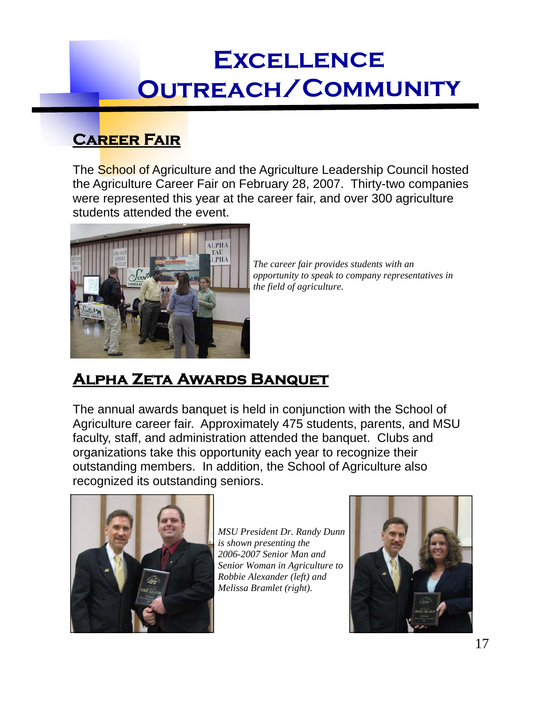## **Career Fair**

The School of Agriculture and the Agriculture Leadership Council hosted the Agriculture Career Fair on February 28, 2007. Thirty-two companies were represented this year at the career fair, and over 300 agriculture students attended the event.



*The career fair provides students with an opportunity to speak to company representatives in the field of agriculture.* 

# **Alpha Zeta Awards Banquet**

The annual awards banquet is held in conjunction with the School of Agriculture career fair. Approximately 475 students, parents, and MSU faculty, staff, and administration attended the banquet. Clubs and organizations take this opportunity each year to recognize their outstanding members. In addition, the School of Agriculture also recognized its outstanding seniors.



*MSU President Dr. Randy Dunn is shown presenting the 2006-2007 Senior Man and Senior Woman in Agriculture to Robbie Alexander (left) and Melissa Bramlet (right).* 

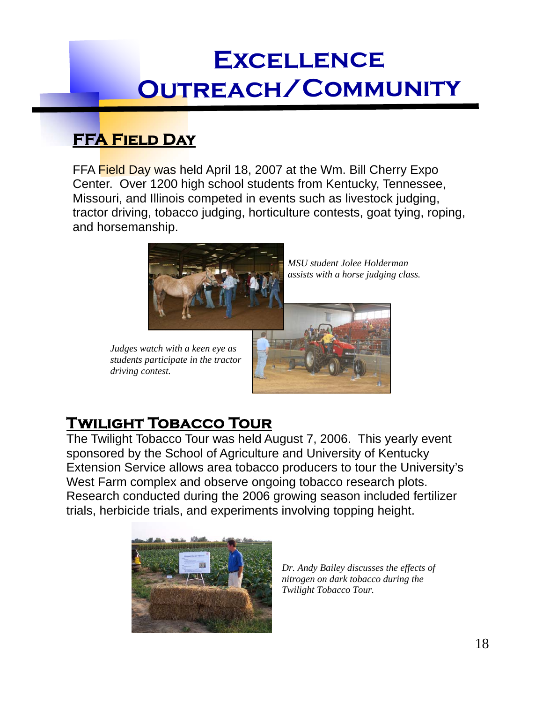## **FFA Field Day**

FFA Field Day was held April 18, 2007 at the Wm. Bill Cherry Expo Center. Over 1200 high school students from Kentucky, Tennessee, Missouri, and Illinois competed in events such as livestock judging, tractor driving, tobacco judging, horticulture contests, goat tying, roping, and horsemanship.



*Judges watch with a keen eye as students participate in the tractor driving contest.* 

*MSU student Jolee Holderman assists with a horse judging class.* 



## **Twilight Tobacco Tour**

The Twilight Tobacco Tour was held August 7, 2006. This yearly event sponsored by the School of Agriculture and University of Kentucky Extension Service allows area tobacco producers to tour the University's West Farm complex and observe ongoing tobacco research plots. Research conducted during the 2006 growing season included fertilizer trials, herbicide trials, and experiments involving topping height.



*Dr. Andy Bailey discusses the effects of nitrogen on dark tobacco during the Twilight Tobacco Tour.*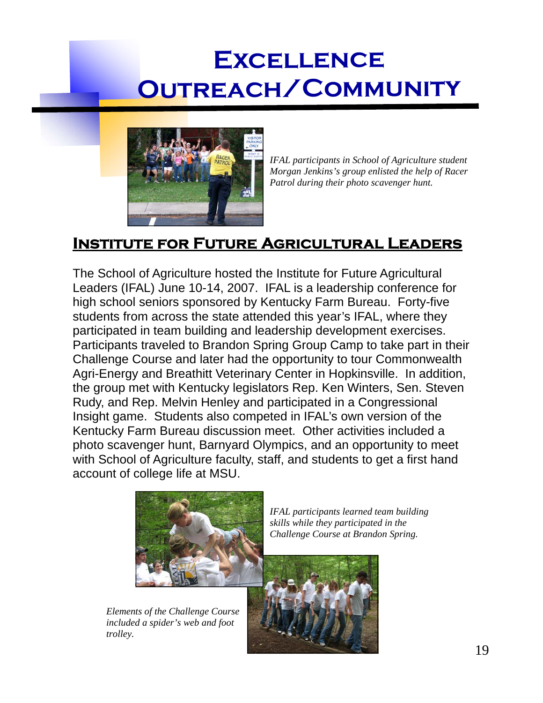

*IFAL participants in School of Agriculture student Morgan Jenkins's group enlisted the help of Racer Patrol during their photo scavenger hunt.* 

## **Institute for Future Agricultural Leaders**

The School of Agriculture hosted the Institute for Future Agricultural Leaders (IFAL) June 10-14, 2007. IFAL is a leadership conference for high school seniors sponsored by Kentucky Farm Bureau. Forty-five students from across the state attended this year's IFAL, where they participated in team building and leadership development exercises. Participants traveled to Brandon Spring Group Camp to take part in their Challenge Course and later had the opportunity to tour Commonwealth Agri-Energy and Breathitt Veterinary Center in Hopkinsville. In addition, the group met with Kentucky legislators Rep. Ken Winters, Sen. Steven Rudy, and Rep. Melvin Henley and participated in a Congressional Insight game. Students also competed in IFAL's own version of the Kentucky Farm Bureau discussion meet. Other activities included a photo scavenger hunt, Barnyard Olympics, and an opportunity to meet with School of Agriculture faculty, staff, and students to get a first hand account of college life at MSU.



*Elements of the Challenge Course included a spider's web and foot trolley.* 

*IFAL participants learned team building skills while they participated in the Challenge Course at Brandon Spring.* 

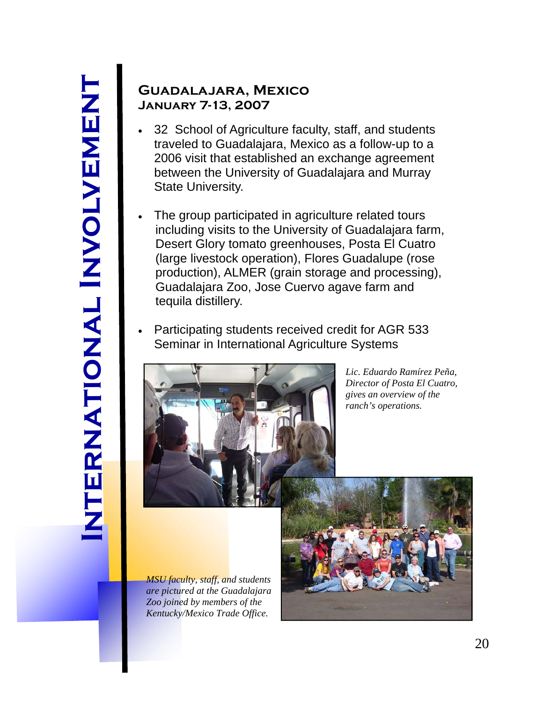## **Guadalajara, Mexico January 7-13, 2007**

- 32 School of Agriculture faculty, staff, and students traveled to Guadalajara, Mexico as a follow-up to a 2006 visit that established an exchange agreement between the University of Guadalajara and Murray State University.
- The group participated in agriculture related tours including visits to the University of Guadalajara farm, Desert Glory tomato greenhouses, Posta El Cuatro (large livestock operation), Flores Guadalupe (rose production), ALMER (grain storage and processing), Guadalajara Zoo, Jose Cuervo agave farm and tequila distillery.
- Participating students received credit for AGR 533 Seminar in International Agriculture Systems



*Lic. Eduardo Ramírez Peña, Director of Posta El Cuatro, gives an overview of the ranch's operations.* 

*MSU faculty, staff, and students are pictured at the Guadalajara Zoo joined by members of the Kentucky/Mexico Trade Office.* 

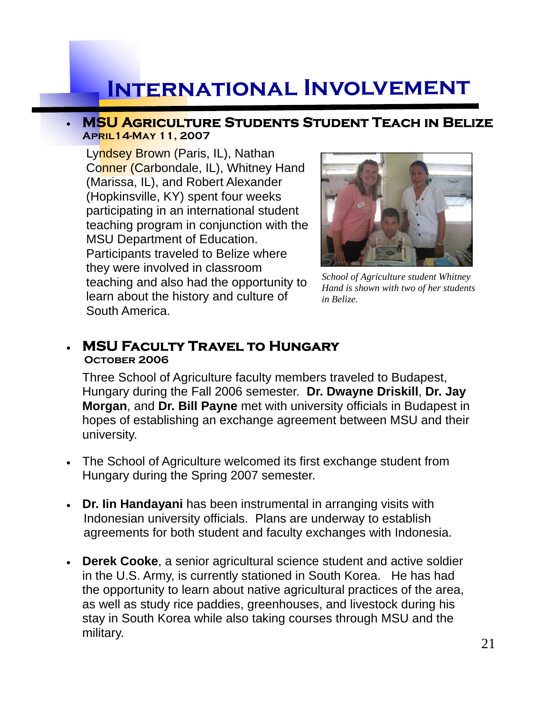# **International Involvement**

#### **MSU Agriculture Students Student Teach in Belize April14-May 11, 2007**

Lyndsey Brown (Paris, IL), Nathan Conner (Carbondale, IL), Whitney Hand (Marissa, IL), and Robert Alexander (Hopkinsville, KY) spent four weeks participating in an international student teaching program in conjunction with the MSU Department of Education. Participants traveled to Belize where they were involved in classroom teaching and also had the opportunity to learn about the history and culture of South America.



*School of Agriculture student Whitney Hand is shown with two of her students in Belize.* 

# **MSU Faculty Travel to Hungary October 2006**

Three School of Agriculture faculty members traveled to Budapest, Hungary during the Fall 2006 semester. **Dr. Dwayne Driskill**, **Dr. Jay Morgan**, and **Dr. Bill Payne** met with university officials in Budapest in hopes of establishing an exchange agreement between MSU and their university.

- The School of Agriculture welcomed its first exchange student from Hungary during the Spring 2007 semester.
- **Dr. Iin Handayani** has been instrumental in arranging visits with Indonesian university officials. Plans are underway to establish agreements for both student and faculty exchanges with Indonesia.
- **Derek Cooke**, a senior agricultural science student and active soldier in the U.S. Army, is currently stationed in South Korea. He has had the opportunity to learn about native agricultural practices of the area, as well as study rice paddies, greenhouses, and livestock during his stay in South Korea while also taking courses through MSU and the military.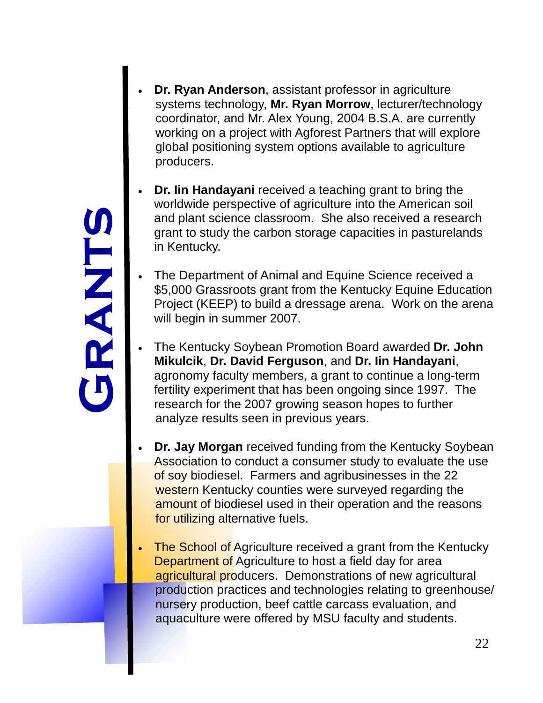**Gr a n ts** 

- **Dr. Ryan Anderson**, assistant professor in agriculture systems technology, **Mr. Ryan Morrow**, lecturer/technology coordinator, and Mr. Alex Young, 2004 B.S.A. are currently working on a project with Agforest Partners that will explore global positioning system options available to agriculture producers.
- **Dr. Iin Handayani** received a teaching grant to bring the worldwide perspective of agriculture into the American soil and plant science classroom. She also received a research grant to study the carbon storage capacities in pasturelands in Kentucky.
- The Department of Animal and Equine Science received a \$5,000 Grassroots grant from the Kentucky Equine Education Project (KEEP) to build a dressage arena. Work on the arena will begin in summer 2007.
- The Kentucky Soybean Promotion Board awarded **Dr. John Mikulcik**, **Dr. David Ferguson**, and **Dr. Iin Handayani**, agronomy faculty members, a grant to continue a long-term fertility experiment that has been ongoing since 1997. The research for the 2007 growing season hopes to further analyze results seen in previous years.
- **Dr. Jay Morgan** received funding from the Kentucky Soybean Association to conduct a consumer study to evaluate the use of soy biodiesel. Farmers and agribusinesses in the 22 western Kentucky counties were surveyed regarding the amount of biodiesel used in their operation and the reasons for utilizing alternative fuels.
- The School of Agriculture received a grant from the Kentucky **Department of Agriculture to host a field day for area**  agricultural producers. Demonstrations of new agricultural production practices and technologies relating to greenhouse/ nursery production, beef cattle carcass evaluation, and aquaculture were offered by MSU faculty and students.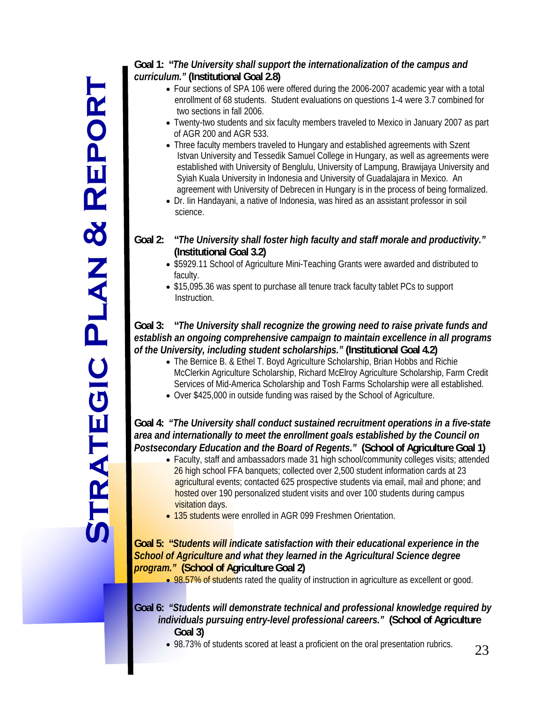# **S t rat e g c i P lan & R e p ort**

#### **Goal 1: "***The University shall support the internationalization of the campus and curriculum."* **(Institutional Goal 2.8)**

- Four sections of SPA 106 were offered during the 2006-2007 academic year with a total enrollment of 68 students. Student evaluations on questions 1-4 were 3.7 combined for two sections in fall 2006.
- Twenty-two students and six faculty members traveled to Mexico in January 2007 as part of AGR 200 and AGR 533.
- Three faculty members traveled to Hungary and established agreements with Szent Istvan University and Tessedik Samuel College in Hungary, as well as agreements were established with University of Benglulu, University of Lampung, Brawijaya University and Syiah Kuala University in Indonesia and University of Guadalajara in Mexico. An agreement with University of Debrecen in Hungary is in the process of being formalized.
- Dr. Iin Handayani, a native of Indonesia, was hired as an assistant professor in soil science.

#### **Goal 2: "***The University shall foster high faculty and staff morale and productivity."*  **(Institutional Goal 3.2)**

- \$5929.11 School of Agriculture Mini-Teaching Grants were awarded and distributed to faculty.
- \$15,095.36 was spent to purchase all tenure track faculty tablet PCs to support Instruction.

#### **Goal 3: "***The University shall recognize the growing need to raise private funds and establish an ongoing comprehensive campaign to maintain excellence in all programs of the University, including student scholarships."* **(Institutional Goal 4.2)**

- The Bernice B. & Ethel T. Boyd Agriculture Scholarship, Brian Hobbs and Richie McClerkin Agriculture Scholarship, Richard McElroy Agriculture Scholarship, Farm Credit Services of Mid-America Scholarship and Tosh Farms Scholarship were all established.
- Over \$425,000 in outside funding was raised by the School of Agriculture.

#### **Goal 4:** *"The University shall conduct sustained recruitment operations in a five-state area and internationally to meet the enrollment goals established by the Council on Postsecondary Education and the Board of Regents."* **(School of Agriculture Goal 1)**

- Faculty, staff and ambassadors made 31 high school/community colleges visits; attended 26 high school FFA banquets; collected over 2,500 student information cards at 23 agricultural events; contacted 625 prospective students via email, mail and phone; and hosted over 190 personalized student visits and over 100 students during campus visitation days.
- 135 students were enrolled in AGR 099 Freshmen Orientation.

#### **Goal 5: "***Students will indicate satisfaction with their educational experience in the School of Agriculture and what they learned in the Agricultural Science degree program."* **(School of Agriculture Goal 2)**

• 98.57% of students rated the quality of instruction in agriculture as excellent or good.

#### **Goal 6:** *"Students will demonstrate technical and professional knowledge required by individuals pursuing entry-level professional careers."* **(School of Agriculture Goal 3)**

98.73% of students scored at least a proficient on the oral presentation rubrics.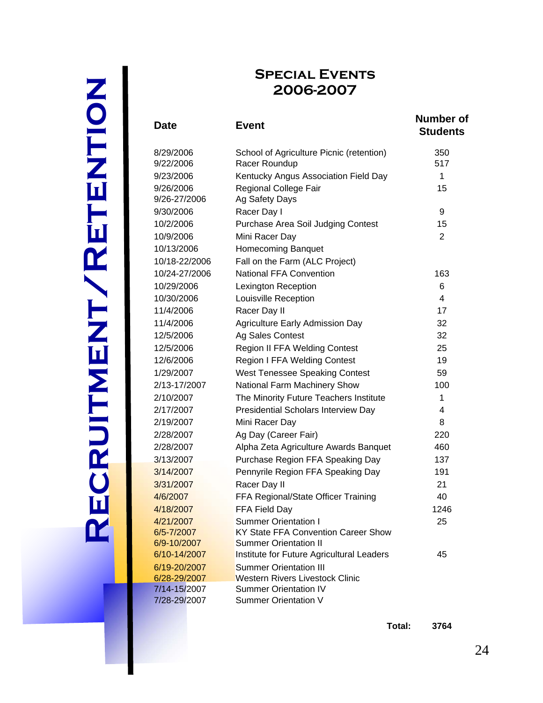# **Re cru i t m e n t / R e t e n t o i n**

## **Special Events 2006-2007**

| Date          | <b>Event</b>                              | <b>Number of</b><br><b>Students</b> |  |
|---------------|-------------------------------------------|-------------------------------------|--|
| 8/29/2006     | School of Agriculture Picnic (retention)  | 350                                 |  |
| 9/22/2006     | Racer Roundup                             | 517                                 |  |
| 9/23/2006     | Kentucky Angus Association Field Day      | 1                                   |  |
| 9/26/2006     | Regional College Fair                     | 15                                  |  |
| 9/26-27/2006  | Ag Safety Days                            |                                     |  |
| 9/30/2006     | Racer Day I                               | 9                                   |  |
| 10/2/2006     | Purchase Area Soil Judging Contest        | 15                                  |  |
| 10/9/2006     | Mini Racer Day                            | 2                                   |  |
| 10/13/2006    | <b>Homecoming Banquet</b>                 |                                     |  |
| 10/18-22/2006 | Fall on the Farm (ALC Project)            |                                     |  |
| 10/24-27/2006 | <b>National FFA Convention</b>            | 163                                 |  |
| 10/29/2006    | <b>Lexington Reception</b>                | 6                                   |  |
| 10/30/2006    | Louisville Reception                      | 4                                   |  |
| 11/4/2006     | Racer Day II                              | 17                                  |  |
| 11/4/2006     | <b>Agriculture Early Admission Day</b>    | 32                                  |  |
| 12/5/2006     | Ag Sales Contest                          | 32                                  |  |
| 12/5/2006     | Region II FFA Welding Contest             | 25                                  |  |
| 12/6/2006     | <b>Region I FFA Welding Contest</b>       | 19                                  |  |
| 1/29/2007     | <b>West Tenessee Speaking Contest</b>     | 59                                  |  |
| 2/13-17/2007  | National Farm Machinery Show              | 100                                 |  |
| 2/10/2007     | The Minority Future Teachers Institute    | 1                                   |  |
| 2/17/2007     | Presidential Scholars Interview Day       | 4                                   |  |
| 2/19/2007     | Mini Racer Day                            | 8                                   |  |
| 2/28/2007     | Ag Day (Career Fair)                      | 220                                 |  |
| 2/28/2007     | Alpha Zeta Agriculture Awards Banquet     | 460                                 |  |
| 3/13/2007     | Purchase Region FFA Speaking Day          | 137                                 |  |
| 3/14/2007     | Pennyrile Region FFA Speaking Day         | 191                                 |  |
| 3/31/2007     | Racer Day II                              | 21                                  |  |
| 4/6/2007      | FFA Regional/State Officer Training       | 40                                  |  |
| 4/18/2007     | FFA Field Day                             | 1246                                |  |
| 4/21/2007     | <b>Summer Orientation I</b>               | 25                                  |  |
| 6/5-7/2007    | KY State FFA Convention Career Show       |                                     |  |
| 6/9-10/2007   | <b>Summer Orientation II</b>              |                                     |  |
| 6/10-14/2007  | Institute for Future Agricultural Leaders | 45                                  |  |
| 6/19-20/2007  | <b>Summer Orientation III</b>             |                                     |  |
| 6/28-29/2007  | <b>Western Rivers Livestock Clinic</b>    |                                     |  |
| 7/14-15/2007  | <b>Summer Orientation IV</b>              |                                     |  |
| 7/28-29/2007  | <b>Summer Orientation V</b>               |                                     |  |

**Total: 3764**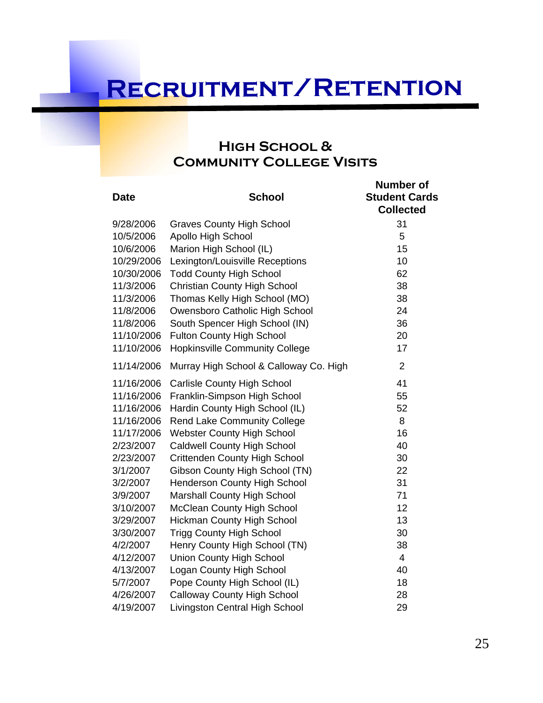# **Recruitment/Retention**

## **High School & Community College Visits**

| <b>Date</b> | <b>School</b>                          | <b>Number of</b><br><b>Student Cards</b><br><b>Collected</b> |
|-------------|----------------------------------------|--------------------------------------------------------------|
| 9/28/2006   | <b>Graves County High School</b>       | 31                                                           |
| 10/5/2006   | <b>Apollo High School</b>              | 5                                                            |
| 10/6/2006   | Marion High School (IL)                | 15                                                           |
| 10/29/2006  | Lexington/Louisville Receptions        | 10                                                           |
| 10/30/2006  | <b>Todd County High School</b>         | 62                                                           |
| 11/3/2006   | Christian County High School           | 38                                                           |
| 11/3/2006   | Thomas Kelly High School (MO)          | 38                                                           |
| 11/8/2006   | Owensboro Catholic High School         | 24                                                           |
| 11/8/2006   | South Spencer High School (IN)         | 36                                                           |
| 11/10/2006  | <b>Fulton County High School</b>       | 20                                                           |
| 11/10/2006  | <b>Hopkinsville Community College</b>  | 17                                                           |
| 11/14/2006  | Murray High School & Calloway Co. High | $\overline{2}$                                               |
| 11/16/2006  | <b>Carlisle County High School</b>     | 41                                                           |
| 11/16/2006  | Franklin-Simpson High School           | 55                                                           |
| 11/16/2006  | Hardin County High School (IL)         | 52                                                           |
| 11/16/2006  | <b>Rend Lake Community College</b>     | 8                                                            |
| 11/17/2006  | <b>Webster County High School</b>      | 16                                                           |
| 2/23/2007   | <b>Caldwell County High School</b>     | 40                                                           |
| 2/23/2007   | <b>Crittenden County High School</b>   | 30                                                           |
| 3/1/2007    | Gibson County High School (TN)         | 22                                                           |
| 3/2/2007    | <b>Henderson County High School</b>    | 31                                                           |
| 3/9/2007    | <b>Marshall County High School</b>     | 71                                                           |
| 3/10/2007   | <b>McClean County High School</b>      | 12                                                           |
| 3/29/2007   | <b>Hickman County High School</b>      | 13                                                           |
| 3/30/2007   | <b>Trigg County High School</b>        | 30                                                           |
| 4/2/2007    | Henry County High School (TN)          | 38                                                           |
| 4/12/2007   | <b>Union County High School</b>        | $\overline{4}$                                               |
| 4/13/2007   | Logan County High School               | 40                                                           |
| 5/7/2007    | Pope County High School (IL)           | 18                                                           |
| 4/26/2007   | <b>Calloway County High School</b>     | 28                                                           |
| 4/19/2007   | Livingston Central High School         | 29                                                           |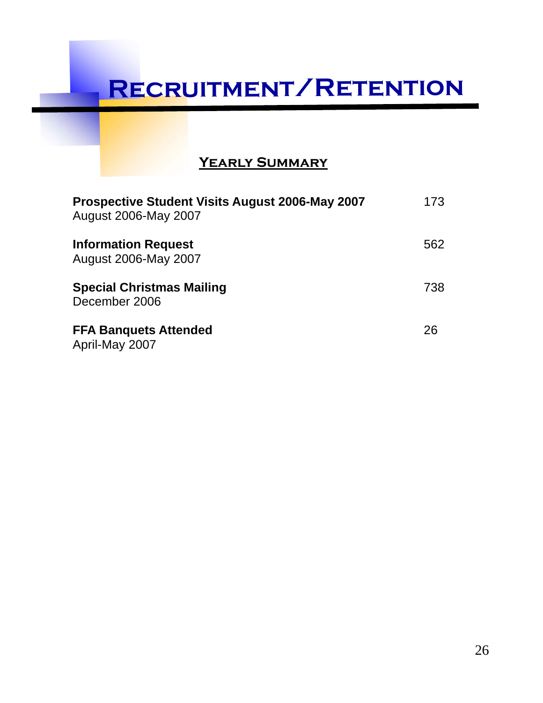# **Recruitment/Retention**

## **Yearly Summary**

| Prospective Student Visits August 2006-May 2007<br>August 2006-May 2007 | 173 |
|-------------------------------------------------------------------------|-----|
| <b>Information Request</b><br>August 2006-May 2007                      | 562 |
| <b>Special Christmas Mailing</b><br>December 2006                       | 738 |
| <b>FFA Banquets Attended</b><br>April-May 2007                          | 26  |